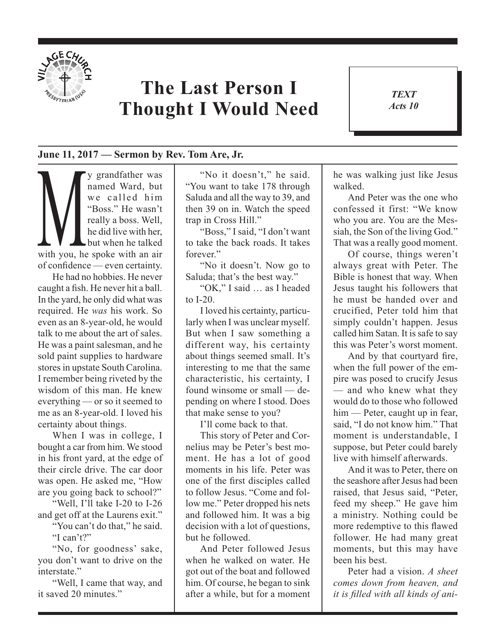

## **The Last Person I Thought I Would Need**

*TEXT Acts 10* 1

## **June 11, 2017 — Sermon by Rev. Tom Are, Jr.**

y grandfather was<br>
named Ward, but<br>
we called him<br>
"Boss." He wasn't<br>
really a boss. Well,<br>
he did live with her,<br>
but when he talked<br>
with you he spoke with an air named Ward, but we called him "Boss." He wasn't really a boss. Well, he did live with her, but when he talked with you, he spoke with an air of confdence — even certainty.

He had no hobbies. He never caught a fsh. He never hit a ball. In the yard, he only did what was required. He *was* his work. So even as an 8-year-old, he would talk to me about the art of sales. He was a paint salesman, and he sold paint supplies to hardware stores in upstate South Carolina. I remember being riveted by the wisdom of this man. He knew everything — or so it seemed to me as an 8-year-old. I loved his certainty about things.

When I was in college, I bought a car from him. We stood in his front yard, at the edge of their circle drive. The car door was open. He asked me, "How are you going back to school?"

"Well, I'll take I-20 to I-26 and get off at the Laurens exit."

"You can't do that," he said. "I can't?"

"No, for goodness' sake, you don't want to drive on the interstate."

"Well, I came that way, and it saved 20 minutes."

"No it doesn't," he said. "You want to take 178 through Saluda and all the way to 39, and then 39 on in. Watch the speed trap in Cross Hill."

"Boss," I said, "I don't want to take the back roads. It takes forever."

"No it doesn't. Now go to Saluda; that's the best way."

"OK," I said … as I headed to I-20.

I loved his certainty, particularly when I was unclear myself. But when I saw something a different way, his certainty about things seemed small. It's interesting to me that the same characteristic, his certainty, I found winsome or small — depending on where I stood. Does that make sense to you?

I'll come back to that.

This story of Peter and Cornelius may be Peter's best moment. He has a lot of good moments in his life. Peter was one of the frst disciples called to follow Jesus. "Come and follow me." Peter dropped his nets and followed him. It was a big decision with a lot of questions, but he followed.

And Peter followed Jesus when he walked on water. He got out of the boat and followed him. Of course, he began to sink after a while, but for a moment he was walking just like Jesus walked.

And Peter was the one who confessed it first: "We know who you are. You are the Messiah, the Son of the living God." That was a really good moment.

Of course, things weren't always great with Peter. The Bible is honest that way. When Jesus taught his followers that he must be handed over and crucified, Peter told him that simply couldn't happen. Jesus called him Satan. It is safe to say this was Peter's worst moment.

And by that courtyard fre, when the full power of the empire was posed to crucify Jesus — and who knew what they would do to those who followed him — Peter, caught up in fear, said, "I do not know him." That moment is understandable, I suppose, but Peter could barely live with himself afterwards.

And it was to Peter, there on the seashore after Jesus had been raised, that Jesus said, "Peter, feed my sheep." He gave him a ministry. Nothing could be more redemptive to this fawed follower. He had many great moments, but this may have been his best.

Peter had a vision. *A sheet comes down from heaven, and it is flled with all kinds of ani-*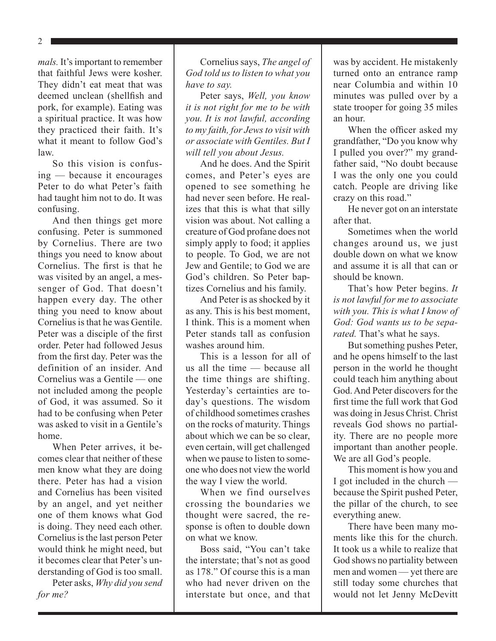2

*mals.* It's important to remember that faithful Jews were kosher. They didn't eat meat that was deemed unclean (shellfsh and pork, for example). Eating was a spiritual practice. It was how they practiced their faith. It's what it meant to follow God's law.

So this vision is confusing — because it encourages Peter to do what Peter's faith had taught him not to do. It was confusing.

And then things get more confusing. Peter is summoned by Cornelius. There are two things you need to know about Cornelius. The frst is that he was visited by an angel, a messenger of God. That doesn't happen every day. The other thing you need to know about Cornelius is that he was Gentile. Peter was a disciple of the frst order. Peter had followed Jesus from the frst day. Peter was the definition of an insider. And Cornelius was a Gentile — one not included among the people of God, it was assumed. So it had to be confusing when Peter was asked to visit in a Gentile's home.

When Peter arrives, it becomes clear that neither of these men know what they are doing there. Peter has had a vision and Cornelius has been visited by an angel, and yet neither one of them knows what God is doing. They need each other. Cornelius is the last person Peter would think he might need, but it becomes clear that Peter's understanding of God is too small.

Peter asks, *Why did you send for me?*

Cornelius says, *The angel of God told us to listen to what you have to say.*

Peter says, *Well, you know it is not right for me to be with you. It is not lawful, according to my faith, for Jews to visit with or associate with Gentiles. But I will tell you about Jesus.* 

And he does. And the Spirit comes, and Peter's eyes are opened to see something he had never seen before. He realizes that this is what that silly vision was about. Not calling a creature of God profane does not simply apply to food; it applies to people. To God, we are not Jew and Gentile; to God we are God's children. So Peter baptizes Cornelius and his family.

And Peter is as shocked by it as any. This is his best moment, I think. This is a moment when Peter stands tall as confusion washes around him.

This is a lesson for all of us all the time — because all the time things are shifting. Yesterday's certainties are today's questions. The wisdom of childhood sometimes crashes on the rocks of maturity. Things about which we can be so clear, even certain, will get challenged when we pause to listen to someone who does not view the world the way I view the world.

When we find ourselves crossing the boundaries we thought were sacred, the response is often to double down on what we know.

Boss said, "You can't take the interstate; that's not as good as 178." Of course this is a man who had never driven on the interstate but once, and that was by accident. He mistakenly turned onto an entrance ramp near Columbia and within 10 minutes was pulled over by a state trooper for going 35 miles an hour.

When the officer asked my grandfather, "Do you know why I pulled you over?" my grandfather said, "No doubt because I was the only one you could catch. People are driving like crazy on this road."

He never got on an interstate after that.

Sometimes when the world changes around us, we just double down on what we know and assume it is all that can or should be known.

That's how Peter begins. *It is not lawful for me to associate with you. This is what I know of God: God wants us to be separated.* That's what he says.

But something pushes Peter, and he opens himself to the last person in the world he thought could teach him anything about God. And Peter discovers for the frst time the full work that God was doing in Jesus Christ. Christ reveals God shows no partiality. There are no people more important than another people. We are all God's people.

This moment is how you and I got included in the church because the Spirit pushed Peter, the pillar of the church, to see everything anew.

There have been many moments like this for the church. It took us a while to realize that God shows no partiality between men and women — yet there are still today some churches that would not let Jenny McDevitt